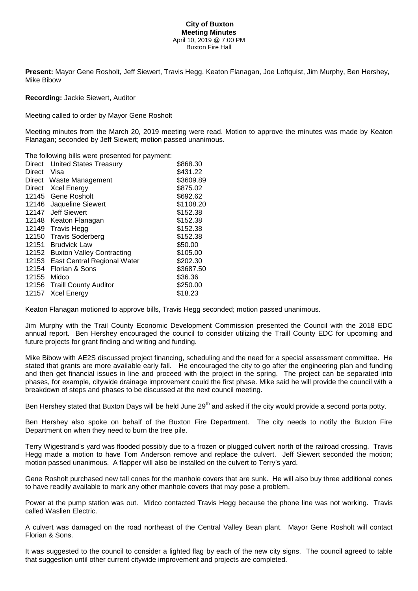## **City of Buxton Meeting Minutes** April 10, 2019 @ 7:00 PM Buxton Fire Hall

**Present:** Mayor Gene Rosholt, Jeff Siewert, Travis Hegg, Keaton Flanagan, Joe Loftquist, Jim Murphy, Ben Hershey, Mike Bibow

## **Recording:** Jackie Siewert, Auditor

Meeting called to order by Mayor Gene Rosholt

Meeting minutes from the March 20, 2019 meeting were read. Motion to approve the minutes was made by Keaton Flanagan; seconded by Jeff Siewert; motion passed unanimous.

The following bills were presented for payment:

| <b>Direct</b> | <b>United States Treasury</b>    | \$868.30  |
|---------------|----------------------------------|-----------|
| <b>Direct</b> | Visa                             | \$431.22  |
| Direct        | Waste Management                 | \$3609.89 |
| Direct        | <b>Xcel Energy</b>               | \$875.02  |
| 12145         | Gene Rosholt                     | \$692.62  |
| 12146         | Jaqueline Siewert                | \$1108.20 |
| 12147         | <b>Jeff Siewert</b>              | \$152.38  |
| 12148         | Keaton Flanagan                  | \$152.38  |
| 12149         | <b>Travis Hegg</b>               | \$152.38  |
| 12150         | <b>Travis Soderberg</b>          | \$152.38  |
| 12151         | <b>Brudvick Law</b>              | \$50.00   |
| 12152         | <b>Buxton Valley Contracting</b> | \$105.00  |
| 12153         | East Central Regional Water      | \$202.30  |
| 12154         | Florian & Sons                   | \$3687.50 |
| 12155         | Midco                            | \$36.36   |
|               | 12156 Traill County Auditor      | \$250.00  |
| 12157         | <b>Xcel Energy</b>               | \$18.23   |

Keaton Flanagan motioned to approve bills, Travis Hegg seconded; motion passed unanimous.

Jim Murphy with the Trail County Economic Development Commission presented the Council with the 2018 EDC annual report. Ben Hershey encouraged the council to consider utilizing the Traill County EDC for upcoming and future projects for grant finding and writing and funding.

Mike Bibow with AE2S discussed project financing, scheduling and the need for a special assessment committee. He stated that grants are more available early fall. He encouraged the city to go after the engineering plan and funding and then get financial issues in line and proceed with the project in the spring. The project can be separated into phases, for example, citywide drainage improvement could the first phase. Mike said he will provide the council with a breakdown of steps and phases to be discussed at the next council meeting.

Ben Hershey stated that Buxton Days will be held June 29<sup>th</sup> and asked if the city would provide a second porta potty.

Ben Hershey also spoke on behalf of the Buxton Fire Department. The city needs to notify the Buxton Fire Department on when they need to burn the tree pile.

Terry Wigestrand's yard was flooded possibly due to a frozen or plugged culvert north of the railroad crossing. Travis Hegg made a motion to have Tom Anderson remove and replace the culvert. Jeff Siewert seconded the motion; motion passed unanimous. A flapper will also be installed on the culvert to Terry's yard.

Gene Rosholt purchased new tall cones for the manhole covers that are sunk. He will also buy three additional cones to have readily available to mark any other manhole covers that may pose a problem.

Power at the pump station was out. Midco contacted Travis Hegg because the phone line was not working. Travis called Waslien Electric.

A culvert was damaged on the road northeast of the Central Valley Bean plant. Mayor Gene Rosholt will contact Florian & Sons.

It was suggested to the council to consider a lighted flag by each of the new city signs. The council agreed to table that suggestion until other current citywide improvement and projects are completed.